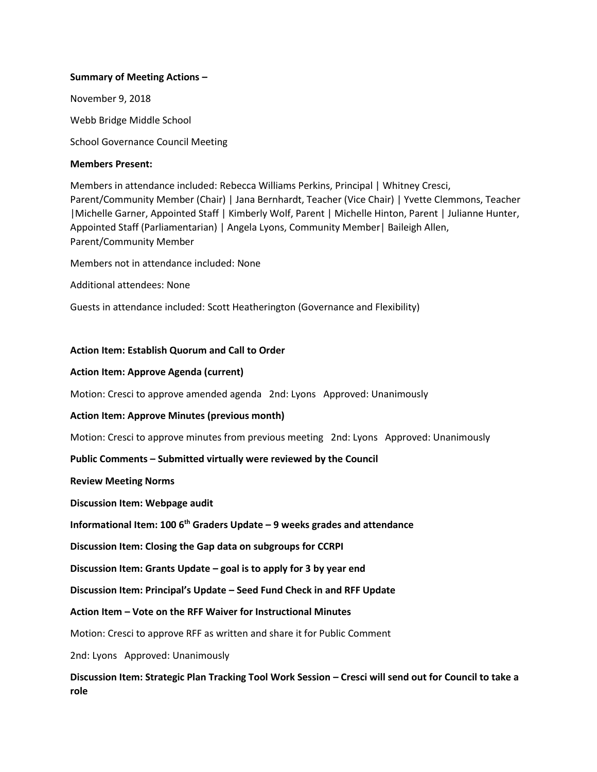### **Summary of Meeting Actions –**

November 9, 2018 Webb Bridge Middle School

School Governance Council Meeting

#### **Members Present:**

Members in attendance included: Rebecca Williams Perkins, Principal | Whitney Cresci, Parent/Community Member (Chair) | Jana Bernhardt, Teacher (Vice Chair) | Yvette Clemmons, Teacher |Michelle Garner, Appointed Staff | Kimberly Wolf, Parent | Michelle Hinton, Parent | Julianne Hunter, Appointed Staff (Parliamentarian) | Angela Lyons, Community Member| Baileigh Allen, Parent/Community Member

Members not in attendance included: None

Additional attendees: None

Guests in attendance included: Scott Heatherington (Governance and Flexibility)

### **Action Item: Establish Quorum and Call to Order**

### **Action Item: Approve Agenda (current)**

Motion: Cresci to approve amended agenda 2nd: Lyons Approved: Unanimously

#### **Action Item: Approve Minutes (previous month)**

Motion: Cresci to approve minutes from previous meeting 2nd: Lyons Approved: Unanimously

#### **Public Comments – Submitted virtually were reviewed by the Council**

**Review Meeting Norms** 

**Discussion Item: Webpage audit**

**Informational Item: 100 6th Graders Update – 9 weeks grades and attendance**

**Discussion Item: Closing the Gap data on subgroups for CCRPI**

**Discussion Item: Grants Update – goal is to apply for 3 by year end**

**Discussion Item: Principal's Update – Seed Fund Check in and RFF Update**

## **Action Item – Vote on the RFF Waiver for Instructional Minutes**

Motion: Cresci to approve RFF as written and share it for Public Comment

2nd: Lyons Approved: Unanimously

**Discussion Item: Strategic Plan Tracking Tool Work Session – Cresci will send out for Council to take a role**